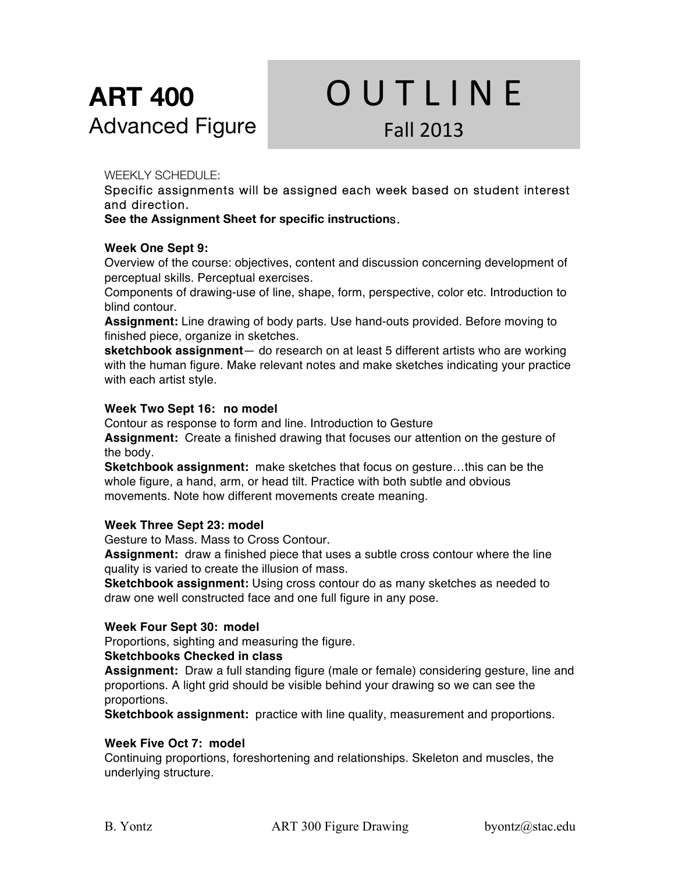# **ART 400** Advanced Figure

# **OUTLINE** Fall 2013

# WEEKLY SCHEDULE:

Specific assignments will be assigned each week based on student interest and direction.

**See the Assignment Sheet for specific instruction**s.

# **Week One Sept 9:**

Overview of the course: objectives, content and discussion concerning development of perceptual skills. Perceptual exercises.

Components of drawing-use of line, shape, form, perspective, color etc. Introduction to blind contour.

**Assignment:** Line drawing of body parts. Use hand-outs provided. Before moving to finished piece, organize in sketches.

**sketchbook assignment**— do research on at least 5 different artists who are working with the human figure. Make relevant notes and make sketches indicating your practice with each artist style.

# **Week Two Sept 16: no model**

Contour as response to form and line. Introduction to Gesture **Assignment:** Create a finished drawing that focuses our attention on the gesture of the body.

**Sketchbook assignment:** make sketches that focus on gesture…this can be the whole figure, a hand, arm, or head tilt. Practice with both subtle and obvious movements. Note how different movements create meaning.

# **Week Three Sept 23: model**

Gesture to Mass. Mass to Cross Contour.

**Assignment:** draw a finished piece that uses a subtle cross contour where the line quality is varied to create the illusion of mass.

**Sketchbook assignment:** Using cross contour do as many sketches as needed to draw one well constructed face and one full figure in any pose.

# **Week Four Sept 30: model**

Proportions, sighting and measuring the figure.

# **Sketchbooks Checked in class**

**Assignment:** Draw a full standing figure (male or female) considering gesture, line and proportions. A light grid should be visible behind your drawing so we can see the proportions.

**Sketchbook assignment:** practice with line quality, measurement and proportions.

# **Week Five Oct 7: model**

Continuing proportions, foreshortening and relationships. Skeleton and muscles, the underlying structure.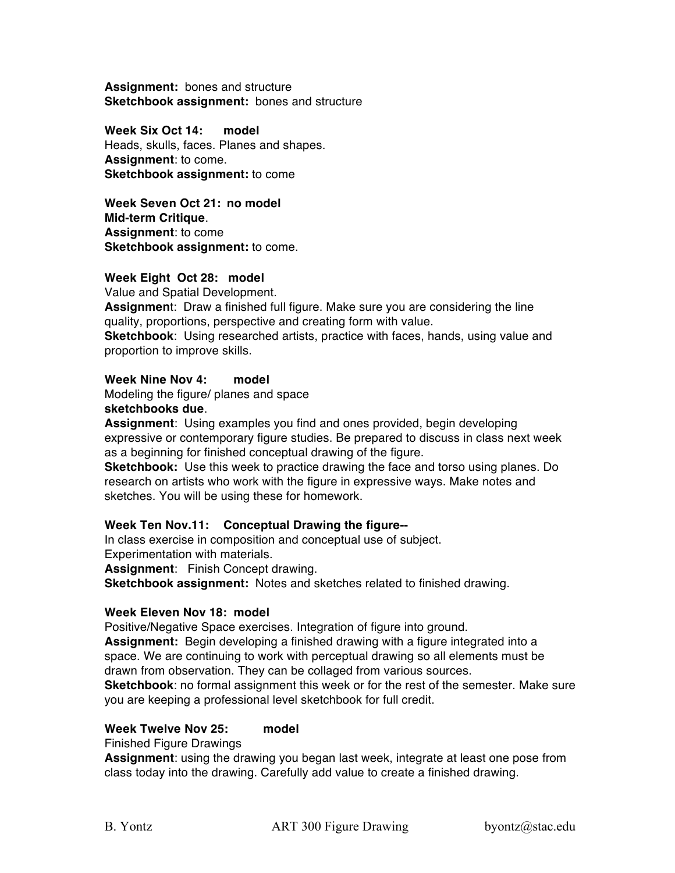**Assignment:** bones and structure **Sketchbook assignment:** bones and structure

**Week Six Oct 14: model** Heads, skulls, faces. Planes and shapes. **Assignment**: to come. **Sketchbook assignment:** to come

**Week Seven Oct 21: no model Mid-term Critique**. **Assignment**: to come **Sketchbook assignment:** to come.

#### **Week Eight Oct 28: model**

Value and Spatial Development.

**Assignmen**t: Draw a finished full figure. Make sure you are considering the line quality, proportions, perspective and creating form with value.

**Sketchbook**: Using researched artists, practice with faces, hands, using value and proportion to improve skills.

# **Week Nine Nov 4: model**

Modeling the figure/ planes and space

# **sketchbooks due**.

**Assignment**: Using examples you find and ones provided, begin developing expressive or contemporary figure studies. Be prepared to discuss in class next week as a beginning for finished conceptual drawing of the figure.

**Sketchbook:** Use this week to practice drawing the face and torso using planes. Do research on artists who work with the figure in expressive ways. Make notes and sketches. You will be using these for homework.

# **Week Ten Nov.11: Conceptual Drawing the figure--**

In class exercise in composition and conceptual use of subject. Experimentation with materials.

**Assignment**: Finish Concept drawing.

**Sketchbook assignment:** Notes and sketches related to finished drawing.

#### **Week Eleven Nov 18: model**

Positive/Negative Space exercises. Integration of figure into ground.

**Assignment:** Begin developing a finished drawing with a figure integrated into a space. We are continuing to work with perceptual drawing so all elements must be drawn from observation. They can be collaged from various sources. **Sketchbook**: no formal assignment this week or for the rest of the semester. Make sure

you are keeping a professional level sketchbook for full credit.

# **Week Twelve Nov 25: model**

#### Finished Figure Drawings

**Assignment**: using the drawing you began last week, integrate at least one pose from class today into the drawing. Carefully add value to create a finished drawing.